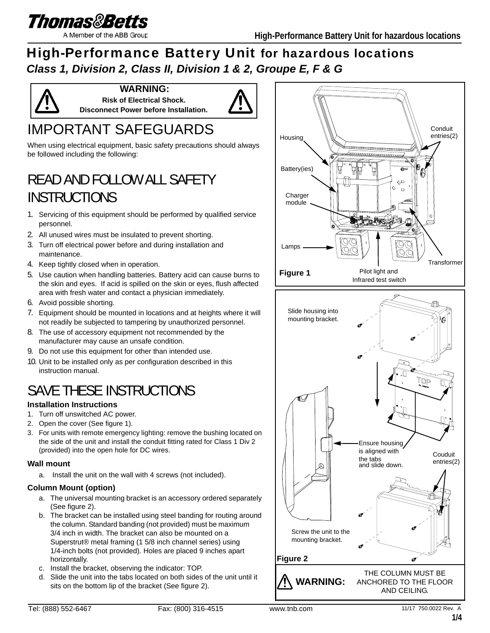

A Member of the ABB Group

## High-Performance Battery Unit for hazardous locations *Class 1, Division 2, Class II, Division 1 & 2, Groupe E, F & G*



**WARNING: Risk of Electrical Shock. Disconnect Power before Installation.**



## IMPORTANT SAFEGUARDS

When using electrical equipment, basic safety precautions should always be followed including the following:

## READ AND FOLLOW ALL SAFETY **INSTRUCTIONS**

- 1. Servicing of this equipment should be performed by qualified service personnel.
- 2. All unused wires must be insulated to prevent shorting.
- 3. Turn off electrical power before and during installation and maintenance.
- 4. Keep tightly closed when in operation.
- 5. Use caution when handling batteries. Battery acid can cause burns to the skin and eyes. If acid is spilled on the skin or eyes, flush affected area with fresh water and contact a physician immediately.
- 6. Avoid possible shorting.
- 7. Equipment should be mounted in locations and at heights where it will not readily be subjected to tampering by unauthorized personnel.
- 8. The use of accessory equipment not recommended by the manufacturer may cause an unsafe condition.
- 9. Do not use this equipment for other than intended use.
- 10. Unit to be installed only as per configuration described in this instruction manual.

## SAVE THESE INSTRUCTIONS

#### **Installation Instructions**

- 1. Turn off unswitched AC power.
- 2. Open the cover (See figure 1).
- 3. For units with remote emergency lighting: remove the bushing located on the side of the unit and install the conduit fitting rated for Class 1 Div 2 (provided) into the open hole for DC wires.

#### **Wall mount**

a. Install the unit on the wall with 4 screws (not included).

#### **Column Mount (option)**

- a. The universal mounting bracket is an accessory ordered separately (See figure 2).
- b. The bracket can be installed using steel banding for routing around the column. Standard banding (not provided) must be maximum 3/4 inch in width. The bracket can also be mounted on a Superstrut® metal framing (1 5/8 inch channel series) using 1/4-inch bolts (not provided). Holes are placed 9 inches apart horizontally.
- c. Install the bracket, observing the indicator: TOP.
- d. Slide the unit into the tabs located on both sides of the unit until it sits on the bottom lip of the bracket (See figure 2).

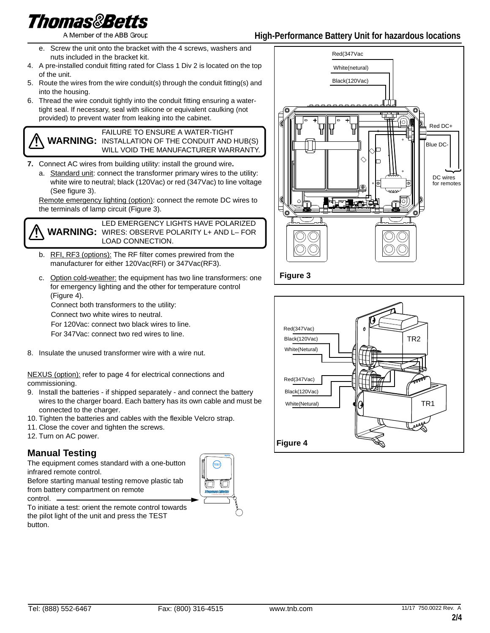# Thomas&Betts

A Member of the ABB Group

- e. Screw the unit onto the bracket with the 4 screws, washers and nuts included in the bracket kit.
- 4. A pre-installed conduit fitting rated for Class 1 Div 2 is located on the top of the unit.
- 5. Route the wires from the wire conduit(s) through the conduit fitting(s) and into the housing.
- 6. Thread the wire conduit tightly into the conduit fitting ensuring a watertight seal. If necessary, seal with silicone or equivalent caulking (not provided) to prevent water from leaking into the cabinet.

**WARNING:** INSTALLATION OF THE CONDUIT AND HUB(S) FAILURE TO ENSURE A WATER-TIGHT WILL VOID THE MANUFACTURER WARRANTY.

- **7.** Connect AC wires from building utility: install the ground wire**.** 
	- a. Standard unit: connect the transformer primary wires to the utility: white wire to neutral; black (120Vac) or red (347Vac) to line voltage (See figure 3).

Remote emergency lighting (option): connect the remote DC wires to the terminals of lamp circuit (Figure 3).

**WARNING:** WIRES: OBSERVE POLARITY L+ AND L– FOR LED EMERGENCY LIGHTS HAVE POLARIZED LOAD CONNECTION.

- b. RFI, RF3 (options): The RF filter comes prewired from the manufacturer for either 120Vac(RFI) or 347Vac(RF3).
- c. Option cold-weather: the equipment has two line transformers: one for emergency lighting and the other for temperature control (Figure 4).

Connect both transformers to the utility:

Connect two white wires to neutral.

For 120Vac: connect two black wires to line.

For 347Vac: connect two red wires to line.

8. Insulate the unused transformer wire with a wire nut.

NEXUS (option): refer to page 4 for electrical connections and commissioning.

- 9. Install the batteries if shipped separately and connect the battery wires to the charger board. Each battery has its own cable and must be connected to the charger.
- 10. Tighten the batteries and cables with the flexible Velcro strap.
- 11. Close the cover and tighten the screws.
- 12. Turn on AC power.

### **Manual Testing**

The equipment comes standard with a one-button infrared remote control.

Before starting manual testing remove plastic tab from battery compartment on remote control.



To initiate a test: orient the remote control towards the pilot light of the unit and press the TEST button.



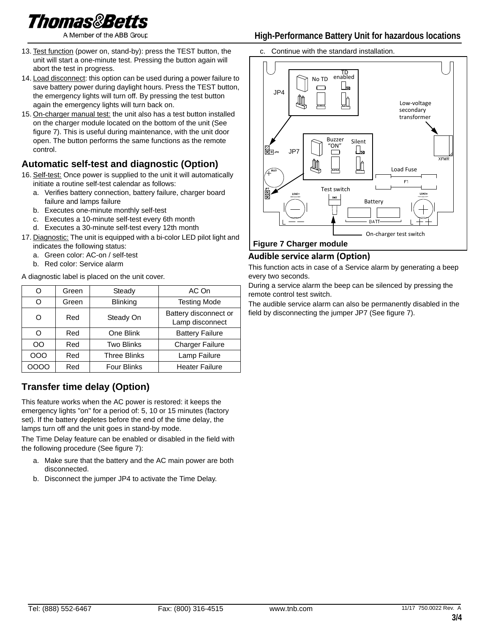A Member of the ABB Group

- 13. Test function (power on, stand-by): press the TEST button, the unit will start a one-minute test. Pressing the button again will abort the test in progress.
- 14. Load disconnect: this option can be used during a power failure to save battery power during daylight hours. Press the TEST button, the emergency lights will turn off. By pressing the test button again the emergency lights will turn back on.
- 15. On-charger manual test: the unit also has a test button installed on the charger module located on the bottom of the unit (See figure 7). This is useful during maintenance, with the unit door open. The button performs the same functions as the remote control.

## **Automatic self-test and diagnostic (Option)**

- 16. Self-test: Once power is supplied to the unit it will automatically initiate a routine self-test calendar as follows:
	- a. Verifies battery connection, battery failure, charger board failure and lamps failure
	- b. Executes one-minute monthly self-test
	- c. Executes a 10-minute self-test every 6th month
	- d. Executes a 30-minute self-test every 12th month
- 17. Diagnostic: The unit is equipped with a bi-color LED pilot light and indicates the following status:
	- a. Green color: AC-on / self-test
	- b. Red color: Service alarm

A diagnostic label is placed on the unit cover.

| O    | Green | Steady              | AC On                                    |  |
|------|-------|---------------------|------------------------------------------|--|
| O    | Green | <b>Blinking</b>     | <b>Testing Mode</b>                      |  |
| Ω    | Red   | Steady On           | Battery disconnect or<br>Lamp disconnect |  |
| Ω    | Red   | One Blink           | <b>Battery Failure</b>                   |  |
| OO   | Red   | <b>Two Blinks</b>   | <b>Charger Failure</b>                   |  |
| 000  | Red   | <b>Three Blinks</b> | Lamp Failure                             |  |
| ၁၀၀၀ | Red   | <b>Four Blinks</b>  | <b>Heater Failure</b>                    |  |

## **Transfer time delay (Option)**

This feature works when the AC power is restored: it keeps the emergency lights "on" for a period of: 5, 10 or 15 minutes (factory set). If the battery depletes before the end of the time delay, the lamps turn off and the unit goes in stand-by mode.

The Time Delay feature can be enabled or disabled in the field with the following procedure (See figure 7):

- a. Make sure that the battery and the AC main power are both disconnected.
- b. Disconnect the jumper JP4 to activate the Time Delay.

### **High-Performance Battery Unit for hazardous locations**

c. Continue with the standard installation.



#### **Figure 7 Charger module**

#### **Audible service alarm (Option)**

This function acts in case of a Service alarm by generating a beep every two seconds.

During a service alarm the beep can be silenced by pressing the remote control test switch.

The audible service alarm can also be permanently disabled in the field by disconnecting the jumper JP7 (See figure 7).